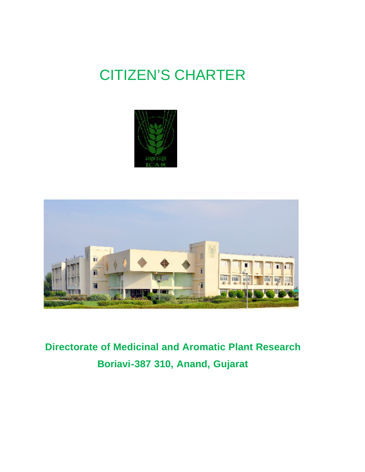# CITIZEN'S CHARTER





## **Directorate of Medicinal and Aromatic Plant Research Boriavi-387 310, Anand, Gujarat**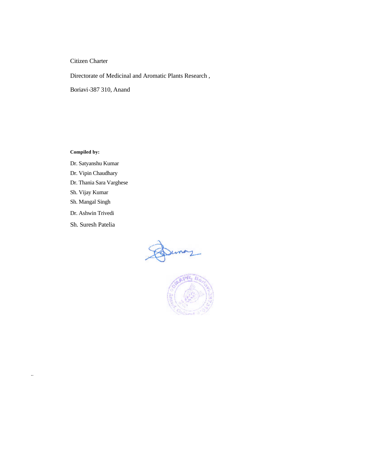Citizen Charter

Directorate of Medicinal and Aromatic Plants Research ,

Boriavi-387 310, Anand

**Compiled by:**

Dr. Satyanshu Kumar

Dr. Vipin Chaudhary

Dr. Thania Sara Varghese

Sh. Vijay Kumar

Sh. Mangal Singh

Dr. Ashwin Trivedi

Sh. Suresh Patelia

..



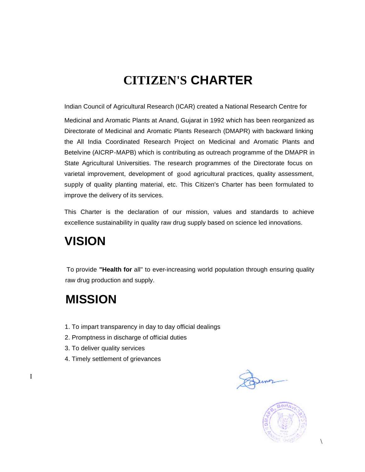## **CITIZEN'S CHARTER**

Indian Council of Agricultural Research (ICAR) created a National Research Centre for Medicinal and Aromatic Plants at Anand, Gujarat in 1992 which has been reorganized as Directorate of Medicinal and Aromatic Plants Research (DMAPR) with backward linking the All India Coordinated Research Project on Medicinal and Aromatic Plants and Betelvine (AICRP-MAPB) which is contributing as outreach programme of the DMAPR in State Agricultural Universities. The research programmes of the Directorate focus on varietal improvement, development of good agricultural practices, quality assessment, supply of quality planting material, etc. This Citizen's Charter has been formulated to improve the delivery of its services.

This Charter is the declaration of our mission, values and standards to achieve excellence sustainability in quality raw drug supply based on science led innovations.

## **VISION**

To provide **"Health for** all" to ever-increasing world population through ensuring quality raw drug production and supply.

## **MISSION**

- 1. To impart transparency in day to day official dealings
- 2. Promptness in discharge of official duties
- 3. To deliver quality services
- 4. Timely settlement of grievances



\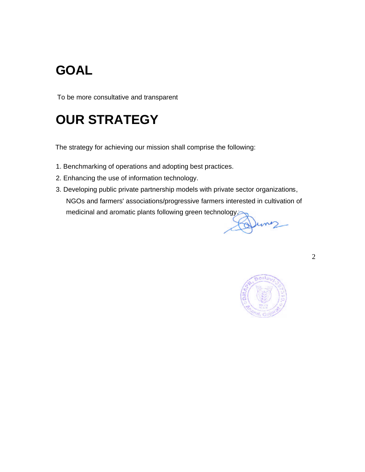## **GOAL**

To be more consultative and transparent

## **OUR STRATEGY**

The strategy for achieving our mission shall comprise the following:

- 1. Benchmarking of operations and adopting best practices.
- 2. Enhancing the use of information technology.
- 3. Developing public private partnership models with private sector organizations, NGOs and farmers' associations/progressive farmers interested in cultivation of medicinal and aromatic plants following green technology.

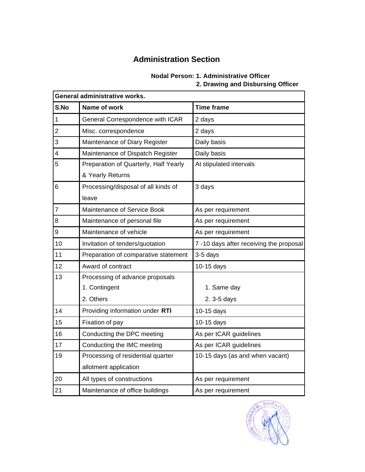### **Administration Section**

#### **Nodal Person: 1. Administrative Officer 2. Drawing and Disbursing Officer**

| General administrative works. |                                       |                                         |
|-------------------------------|---------------------------------------|-----------------------------------------|
| S.No                          | Name of work                          | <b>Time frame</b>                       |
| $\mathbf{1}$                  | General Correspondence with ICAR      | 2 days                                  |
| $\overline{\mathbf{c}}$       | Misc. correspondence                  | 2 days                                  |
| 3                             | Maintenance of Diary Register         | Daily basis                             |
| 4                             | Maintenance of Dispatch Register      | Daily basis                             |
| 5                             | Preparation of Quarterly, Half Yearly | At stipulated intervals                 |
|                               | & Yearly Returns                      |                                         |
| 6                             | Processing/disposal of all kinds of   | 3 days                                  |
|                               | leave                                 |                                         |
| 7                             | Maintenance of Service Book           | As per requirement                      |
| 8                             | Maintenance of personal file          | As per requirement                      |
| 9                             | Maintenance of vehicle                | As per requirement                      |
| 10                            | Invitation of tenders/quotation       | 7 -10 days after receiving the proposal |
| 11                            | Preparation of comparative statement  | 3-5 days                                |
| 12                            | Award of contract                     | 10-15 days                              |
| 13                            | Processing of advance proposals       |                                         |
|                               | 1. Contingent                         | 1. Same day                             |
|                               | 2. Others                             | 2. 3-5 days                             |
| 14                            | Providing information under RTI       | 10-15 days                              |
| 15                            | Fixation of pay                       | 10-15 days                              |
| 16                            | Conducting the DPC meeting            | As per tCAR guidelines                  |
| 17                            | Conducting the IMC meeting            | As per ICAR guidelines                  |
| 19                            | Processing of residential quarter     | 10-15 days (as and when vacant)         |
|                               | allotment application                 |                                         |
| 20                            | All types of constructions            | As per requirement                      |
| 21                            | Maintenance of office buildings       | As per requirement                      |

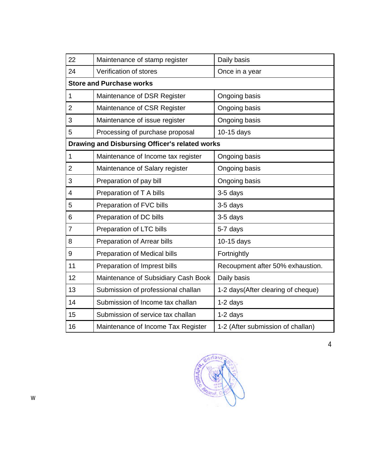| 22             | Maintenance of stamp register                  | Daily basis                        |
|----------------|------------------------------------------------|------------------------------------|
| 24             | Verification of stores                         | Once in a year                     |
|                | <b>Store and Purchase works</b>                |                                    |
| 1              | Maintenance of DSR Register                    | Ongoing basis                      |
| $\overline{2}$ | Maintenance of CSR Register                    | Ongoing basis                      |
| 3              | Maintenance of issue register                  | Ongoing basis                      |
| 5              | Processing of purchase proposal                | 10-15 days                         |
|                | Drawing and Disbursing Officer's related works |                                    |
| $\mathbf 1$    | Maintenance of Income tax register             | Ongoing basis                      |
| $\overline{2}$ | Maintenance of Salary register                 | Ongoing basis                      |
| 3              | Preparation of pay bill                        | Ongoing basis                      |
| $\overline{4}$ | Preparation of T A bills                       | 3-5 days                           |
| 5              | Preparation of FVC bills                       | 3-5 days                           |
| 6              | Preparation of DC bills                        | 3-5 days                           |
| 7              | Preparation of LTC bills                       | 5-7 days                           |
| 8              | Preparation of Arrear bills                    | 10-15 days                         |
| 9              | <b>Preparation of Medical bills</b>            | Fortnightly                        |
| 11             | Preparation of Imprest bills                   | Recoupment after 50% exhaustion.   |
| 12             | Maintenance of Subsidiary Cash Book            | Daily basis                        |
| 13             | Submission of professional challan             | 1-2 days(After clearing of cheque) |
| 14             | Submission of Income tax challan               | 1-2 days                           |
| 15             | Submission of service tax challan              | 1-2 days                           |
| 16             | Maintenance of Income Tax Register             | 1-2 (After submission of challan)  |

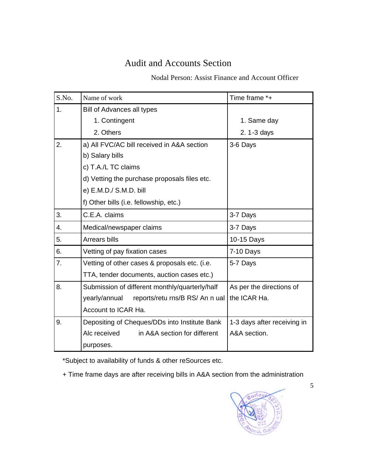### Audit and Accounts Section

#### Nodal Person: Assist Finance and Account Officer

| S.No.          | Name of work                                     | Time frame *+               |
|----------------|--------------------------------------------------|-----------------------------|
| $\mathbf{1}$ . | Bill of Advances all types                       |                             |
|                | 1. Contingent                                    | 1. Same day                 |
|                | 2. Others                                        | 2.1-3 days                  |
| 2.             | a) All FVC/AC bill received in A&A section       | 3-6 Days                    |
|                | b) Salary bills                                  |                             |
|                | c) T.A./L TC claims                              |                             |
|                | d) Vetting the purchase proposals files etc.     |                             |
|                | e) E.M.D./ S.M.D. bill                           |                             |
|                | f) Other bills (i.e. fellowship, etc.)           |                             |
| 3.             | C.E.A. claims                                    | 3-7 Days                    |
| 4.             | Medical/newspaper claims                         | 3-7 Days                    |
| 5.             | Arrears bills                                    | 10-15 Days                  |
| 6.             | Vetting of pay fixation cases                    | 7-10 Days                   |
| 7.             | Vetting of other cases & proposals etc. (i.e.    | 5-7 Days                    |
|                | TTA, tender documents, auction cases etc.)       |                             |
| 8.             | Submission of different monthly/quarterly/half   | As per the directions of    |
|                | yearly/annual<br>reports/retu rns/B RS/ An n ual | the ICAR Ha.                |
|                | Account to ICAR Ha.                              |                             |
| 9.             | Depositing of Cheques/DDs into Institute Bank    | 1-3 days after receiving in |
|                | Alc received<br>in A&A section for different     | A&A section.                |
|                | purposes.                                        |                             |

\*Subject to availability of funds & other reSources etc.

+ Time frame days are after receiving bills in A&A section from the administration

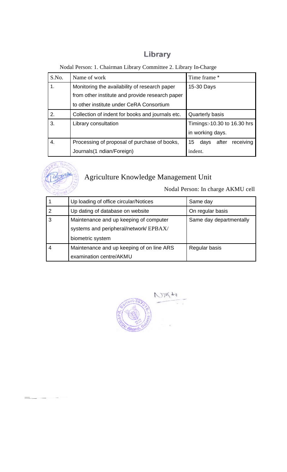### Library

Nodal Person: 1. Chairman Library Committee 2. Library In-Charge

| S.No. | Name of work                                     | Time frame *                     |
|-------|--------------------------------------------------|----------------------------------|
| 1.    | Monitoring the availability of research paper    | 15-30 Days                       |
|       | from other institute and provide research paper  |                                  |
|       | to other institute under CeRA Consortium         |                                  |
| 2.    | Collection of indent for books and journals etc. | <b>Quarterly basis</b>           |
| 3.    | Library consultation                             | Timings:-10.30 to 16.30 hrs      |
|       |                                                  | in working days.                 |
| 4.    | Processing of proposal of purchase of books,     | receiving<br>15<br>after<br>days |
|       | Journals(1 ndian/Foreign)                        | indent.                          |

### Agriculture Knowledge Management Unit

Nodal Person: In charge AKMU cell

|   | Up loading of office circular/Notices                                                               | Same day                |
|---|-----------------------------------------------------------------------------------------------------|-------------------------|
| 2 | Up dating of database on website                                                                    | On regular basis        |
| 3 | Maintenance and up keeping of computer<br>systems and peripheral/network/EPBAX/<br>biometric system | Same day departmentally |
|   | Maintenance and up keeping of on line ARS<br>examination centre/AKMU                                | Regular basis           |

NING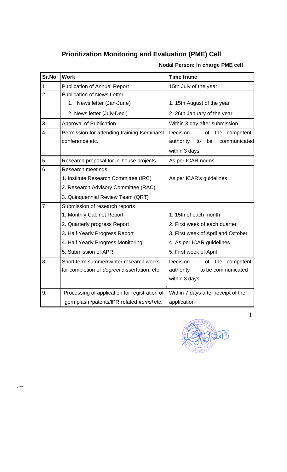### **Prioritization Monitoring and Evaluation (PME) Cell**

### **Nodal Person: In charge PME cell**

| Sr.No          | <b>Work</b>                                         | <b>Time frame</b>                     |
|----------------|-----------------------------------------------------|---------------------------------------|
| $\mathbf{1}$   | <b>Publication of Annual Report</b>                 | 15tn July of the year                 |
| $\overline{2}$ | <b>Publication of News Letter</b>                   |                                       |
|                | 1. News letter (Jan-June)                           | 1. 15th August of the year            |
|                | 2. News letter (July-Dec.)                          | 2. 26th January of the year           |
| 3              | Approval of Publication                             | Within 3 day after submission         |
| $\overline{4}$ | Permission for attending training Iseminarsl        | Decision<br>of the competent          |
|                | conference etc.                                     | authority<br>communicated<br>be<br>to |
|                |                                                     | within 3 days                         |
| 5.             | Research proposal for in-house projects             | As per ICAR norms                     |
| 6              | Research meetings                                   |                                       |
|                | 1. Institute Research Committee (IRC)               | As per ICAR's guidelines              |
|                | 2. Research Advisory Committee (RAC)                |                                       |
|                | 3. Quinquennial Review Team (QRT)                   |                                       |
| $\overline{7}$ | Submission of research reports                      |                                       |
|                | 1. Monthly Cabinet Report                           | 1. 15th of each month                 |
|                | 2. Quarterly progress Report                        | 2. First week of each quarter         |
|                | 3. Half Yearly Progress Report                      | 3. First week of April and October    |
|                | 4. Half Yearly Progress Monitoring                  | 4. As per ICAR guidelines             |
|                | 5. Submission of APR                                | 5. First week of April                |
| 8              | Short term summer/winter research works             | Decision<br>of<br>the competent       |
|                | for completion of <i>degreel</i> dissertation, etc. | authority<br>to be communicated       |
|                |                                                     | within 3 days                         |
| 9.             | Processing of application for registration of       | Within 7 days after receipt of the    |
|                | germplasm/patents/IPR related itemsletc.            | application                           |

. --

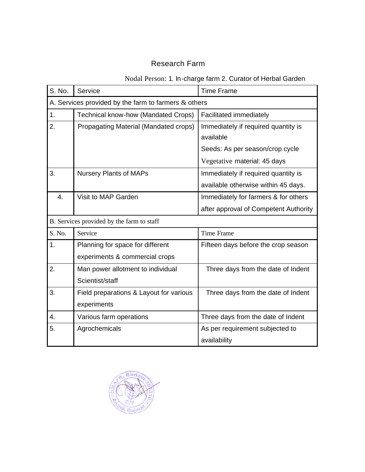### Research Farm

#### Nodal Person: 1. In-charge farm 2. Curator of Herbal Garden

| S. No.                                                  | Service                                    | <b>Time Frame</b>                     |
|---------------------------------------------------------|--------------------------------------------|---------------------------------------|
| A. Services provided by the farm to farmers $\&$ others |                                            |                                       |
| 1.                                                      | <b>Technical know-how (Mandated Crops)</b> | Facilitated immediately               |
| 2.                                                      | Propagating Material (Mandated crops)      | Immediately if required quantity is   |
|                                                         |                                            | available                             |
|                                                         |                                            | Seeds: As per season/crop cycle       |
|                                                         |                                            | Vegetative material: 45 days          |
| 3.                                                      | <b>Nursery Plants of MAPs</b>              | Immediately if required quantity is   |
|                                                         |                                            | available otherwise within 45 days.   |
| 4.                                                      | Visit to MAP Garden                        | Immediately for farmers & for others  |
|                                                         |                                            | after approval of Competent Authority |
| B. Services provided by the farm to staff               |                                            |                                       |
| S. No.                                                  | Service                                    | <b>Time Frame</b>                     |
| 1.                                                      | Planning for space for different           | Fifteen days before the crop season   |
|                                                         | experiments & commercial crops             |                                       |
| 2.                                                      | Man power allotment to individual          | Three days from the date of Indent    |
|                                                         | Scientist/staff                            |                                       |
| 3.                                                      | Field preparations & Layout for various    | Three days from the date of Indent    |
|                                                         | experiments                                |                                       |
| $\overline{4}$ .                                        | Various farm operations                    | Three days from the date of Indent    |
| 5.                                                      | Agrochemicals                              | As per requirement subjected to       |
|                                                         |                                            | availability                          |